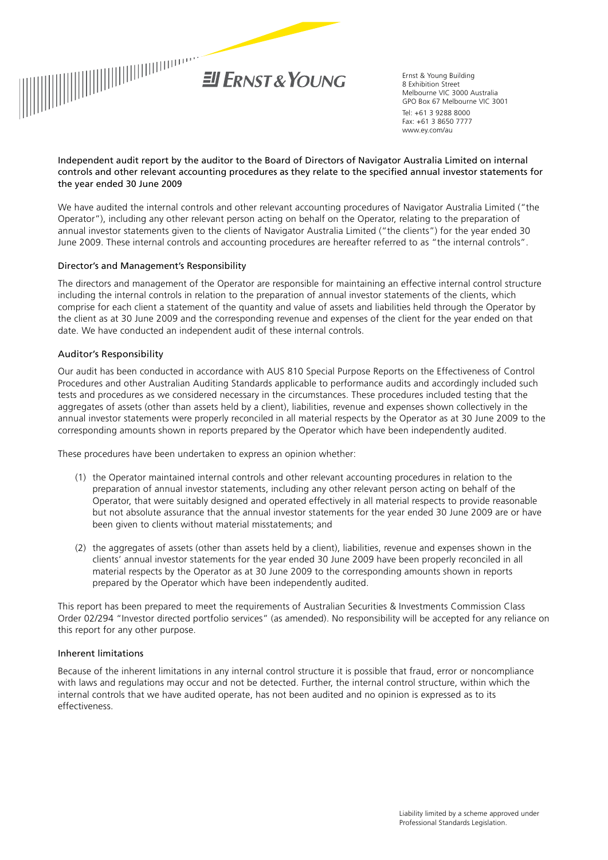

Ernst & Young Building 8 Exhibition Street Melbourne VIC 3000 Australia GPO Box 67 Melbourne VIC 3001 Tel: +61 3 9288 8000 Fax: +61 3 8650 7777 www.ey.com/au

#### Independent audit report by the auditor to the Board of Directors of Navigator Australia Limited on internal controls and other relevant accounting procedures as they relate to the specified annual investor statements for  $t$ he year ended 30 June 2009  $t$

We have audited the internal controls and other relevant accounting procedures of Navigator Australia Limited ("the annual investor statements given to the clients of Navigator Australia Limited ("the clients") for the year ended 30 June 2009. These internal controls and accounting procedures are hereafter referred to as "the internal controls". Operator"), including any other relevant person acting on behalf on the Operator, relating to the preparation of

#### Director's and Management's Responsibility and accounting procedures are accounting procedures are accounting procedures are accounting procedures are accounting procedures are accounting procedures are accounting procedur

hereafter referred to as "the internal controls". Our audit has been performed in order to express an opinion The directors and management of the Operator are responsible for maintaining an effective internal control structure including the internal controls in relation to the preparation of annual investor statements of the clients, which comprise for each client a statement of the quantity and value of assets and liabilities held through the Operator by the client as at 30 June 2009 and the corresponding revenue and expenses of the client for the year ended on that date. We have conducted an independent audit of these internal controls.

## Auditor's Responsibility

Procedures and other Australian Auditing Standards applicable to performance audits and accordingly included such tests and procedures as we considered necessary in the circumstances. These procedures included testing that the aggregates of assets (other than assets held by a client), liabilities, revenue and expenses shown collectively in the annual investor statements were properly reconciled in all material respects by the Operator as at 30 June 2009 to the corresponding amounts shown in reports prepared by the Operator which have been independently audited. at 30 June 2008 to the corresponding amounts shown in reports prepared by the custodian  $\mathcal{L}$ Our audit has been conducted in accordance with AUS 810 Special Purpose Reports on the Effectiveness of Control

These procedures have been undertaken to express an opinion whether:

- (1) the Operator maintained internal controls and other relevant accounting procedures in relation to the preparation of annual investor statements, including any other relevant person acting on senal of the Operator, that were suitably designed and operated effectively in all material respects to provide reasonable but not absolute assurance that the annual investor statements for the year ended 30 June 2009 are or have person action be elight on the Operator of the Operator, the Operator, the Operator of the Operator, the Operator, that were suitably in all of the Operator, the Operator, the Operator, the Operator of the Operator of the been given to clients without material misstatements; and preparation of annual investor statements, including any other relevant person acting on behalf of the
	- (2) the aggregates of assets (other than assets held by a client), liabilities, revenue and expenses shown in the  $\frac{1}{100}$  the aggregates of assets  $\frac{1}{100}$  and  $\frac{1}{20}$  by a client  $\frac{1}{200}$  by the correction of an assets in second in a contract of  $\frac{1}{20}$  by a client of  $\frac{1}{20}$  by a contract of  $\frac{1}{20}$  by a contr material respects by the Operator as at 30 June 2009 to the corresponding amounts shown in reports<br>necessed by the Operator which have been independently sudited prepared by the Operator which have been independently audited. clients' annual investor statements for the year ended 30 June 2009 have been properly reconciled in all

This report has been prepared to meet the requirements of Australian Securities & Investments Commission Class Order 02/294 "Investor directed portfolio services" (as amended). No responsibility will be accepted for any reliance on<br>Julie 1996 this report for any other purpose.

# Inherent limitations

**Inherent limitations** Because of the inherent limitations in any internal control structure it is possible that fraud, error or noncompliance internal controls that we have audited operate, has not been audited and no opinion is expressed as to its complete with laws and regulations may occur and not be detected. Further, the internal control structure, the internal control structure, the internal control structure, in the internal control structure, and internal con with laws and regulations may occur and not be detected. Further, the internal control structure, within which the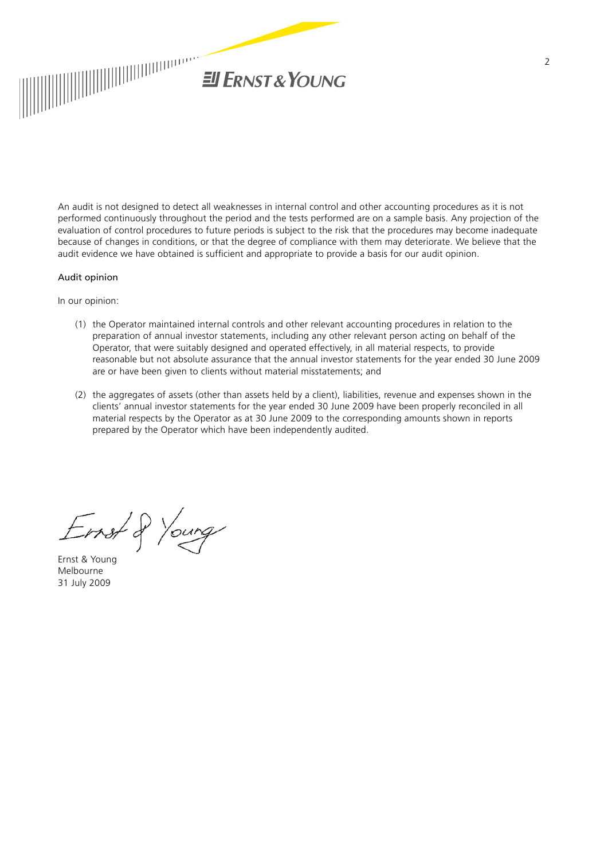

**Scope** An audit is not designed to detect all weaknesses in internal control and other accounting procedures as it is not evaluation of control procedures to future periods is subject to the risk that the procedures may become inadequate because of changes in conditions, or that the degree of compliance with them may deteriorate. We believe that the audit evidence we have obtained is sufficient and appropriate to provide a basis for our audit opinion. performed continuously throughout the period and the tests performed are on a sample basis. Any projection of the

#### hereafter referred to as "the internal controls". Our audit has been performed in order to express an opinion Audit opinion

annual investor statements. The directors and management of the Operator are responsible for maintaining an In our opinion:

- (1) the Operator maintained internal controls and other relevant accounting procedures in relation to the preparation of annual investor statements, including any other relevant person acting on behalf of the Operator, that were suitably designed and operated effectively, in all material respects, to provide reasonable but not absolute assurance that the annual investor statements for the year ended 30 June 2009 Our audit has been conducted in accordance with AUS 810 *Special Purpose Reports on the Effectiveness of*  are or have been given to clients without material misstatements; and
- (2) the aggregates of assets (other than assets held by a client), liabilities, revenue and expenses shown in the clients' annual investor statements for the year ended 30 June 2009 have been properly reconciled in all material respects by the Operator as at 30 June 2009 to the corresponding amounts shown in reports prepared by the Operator which have been independently audited. at 30 June 2008 to the corresponding amounts shown in reports prepared by the custodian (s) which have been  $\mathcal{L}$

preparation of annual investor statements, including those over its custodian (s) and any other relevants, including the statements, including the statements, including the statements of any other relevants. The statement  $\rho$  and  $\rho$  the Operator, that were suitably designed and operator, that were suitably in all  $\rho$ material respects to provide reasonable but not absolute assurance that the annual investor statements for the year ended 30  $\mu$  June 2008 are or have been given to clients without material misstatements; and  $\mu$ 

(2) the aggregates of assets (other than assets held by a client), i.e.,  $r_{\rm eff}$  and expenses shown in expenses shown in expenses shown in expenses shown in expenses shown in the state of the state of the state of the st the clients for the year ended 30 June 2008 have been properly reconciled 30  $\mu$  $\sum_{i=1}^n$ Ernst & Young Melbourne 31 July 2009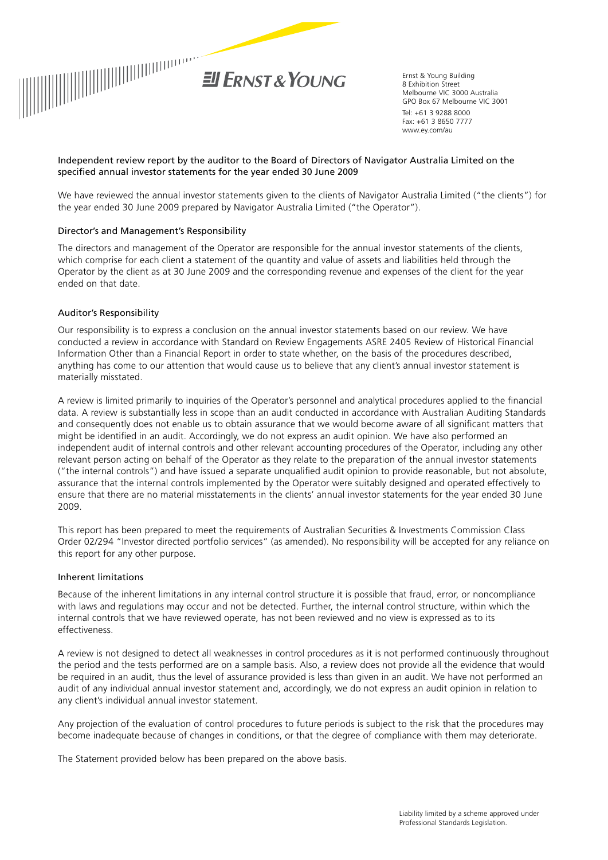

Ernst & Young Building 8 Exhibition Street Melbourne VIC 3000 Australia GPO Box 67 Melbourne VIC 3001 Tel: +61 3 9288 8000 Fax: +61 3 8650 7777 www.ey.com/au

#### Independent review report by the auditor to the Board of Directors of Navigator Australia Limited on the specified annual investor statements for the year ended 30 June 2009

**Scope** the year ended 30 June 2009 prepared by Navigator Australia Limited ("the Operator"). We have reviewed the annual investor statements given to the clients of Navigator Australia Limited ("the clients") for

#### Director's and Management's Responsibility **controls and Australia Limited procedures** of Navigator Australia Li

("the Operator"), including those over its custodian(s) and any other relevant person acting on behalf of the The directors and management of the Operator are responsible for the annual investor statements of the clients, which comprise for each client a statement of the quantity and value of assets and liabilities held through the Operator by the client as at 30 June 2009 and the corresponding revenue and expenses of the client for the year about the effective  $\alpha$  internal controls in mitigating the risk of material misstatement in the clients' misstatement in the clients' misstatement in the clients' misstatement in the clients' misstatement in the clients ended on that date.

### effective internal control structure including the internal controls in relation to the preparation of annual investor Auditor's Responsibility

statements of the clients, which comprise for each client a statement of the quantity and value of assets and Our responsibility is to express a conclusion on the annual investor statements based on our review. We have conducted a review in accordance with Standard on Review Engagements ASRE 2405 Review of Historical Financial Information Other than a Financial Report in order to state whether, on the basis of the procedures described, Our audit has been conducted in accordance with AUS 810 *Special Purpose Reports on the Effectiveness of*  materially misstated. anything has come to our attention that would cause us to believe that any client's annual investor statement is

A review is limited primarily to inquiries of the Operator's personnel and analytical procedures applied to the financial data. A review is substantially less in scope than an audit conducted in accordance with Australian Auditing Standards and consequently does not enable us to obtain assurance that we would become aware of all significant matters that might be identified in an audit. Accordingly, we do not express an audit opinion. We have also performed an independent audit of internal controls and other relevant accounting procedures of the Operator, including any other ("the internal controls") and have issued a separate unqualified audit opinion to provide reasonable, but not absolute, ensure that there are no material misstatements in the clients' annual investor statements for the year ended 30 June relevant person acting on behalf of the Operator as they relate to the preparation of the annual investor statements assurance that the internal controls implemented by the Operator were suitably designed and operated effectively to 2009.

This report has been prepared to meet the requirements of Australian Securities & Investments Commission Class Order 02/294 "Investor directed portfolio services" (as amended). No responsibility will be accepted for any reliance on this report for any other purpose.

#### the clients for the clients' and  $30$ une 2008 have been properly reconciled 30 June 2008 have been properly reconciled 30 June 2008 have been properly reconciled 30 June 2008 have been properly reconciled 30 June 2008 have Inherent limitations

of the inhouse timitations in any internal control structure it is possible that frough arror or pencessalions Because of the inherent limitations in any internal control structure it is possible that fraud, error, or noncompliance<br>With laws and manufations manuscriptions in any internal control. English internal control structure internal controls that we have reviewed operate, has not been reviewed and no view is expressed as to its<br>effectives assess Order 02/294 "Investor directed portfolio services" (as amended). No responsibility will be accepted for any with laws and regulations may occur and not be detected. Further, the internal control structure, within which the effectiveness.

A review is not designed to detect all weaknesses in control procedures as it is not performed continuously throughout the period and the tests performed are on a sample basis. Also, a review does not provide all the evidence that would<br>. audit of any individual annual investor statement and, accordingly, we do not express an audit opinion in relation to any client's individual annual investor statement. be required in an audit, thus the level of assurance provided is less than given in an audit. We have not performed an

within which the internal controls that we have audited operate, has not been audited and no opinion is expressed Any projection of the evaluation of control procedures to future periods is subject to the risk that the procedures may become inadequate because of changes in conditions, or that the degree of compliance with them may deteriorate.

The Statement provided below has been prepared on the above basis.